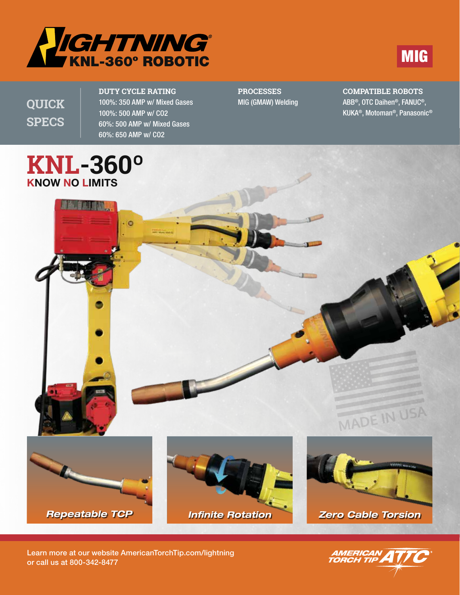



**QUICK SPECS**

**DUTY CYCLE RATING** 100%: 350 AMP w/ Mixed Gases 100%: 500 AMP w/ CO2 60%: 500 AMP w/ Mixed Gases 60%: 650 AMP w/ CO2

o

#### **PROCESSES** MIG (GMAW) Welding

**COMPATIBLE ROBOTS** ABB®, OTC Daihen®, FANUC®, KUKA®, Motoman®, Panasonic®

# **KNL-360º** KNOW NO LIMITS

弹出型高山非动物



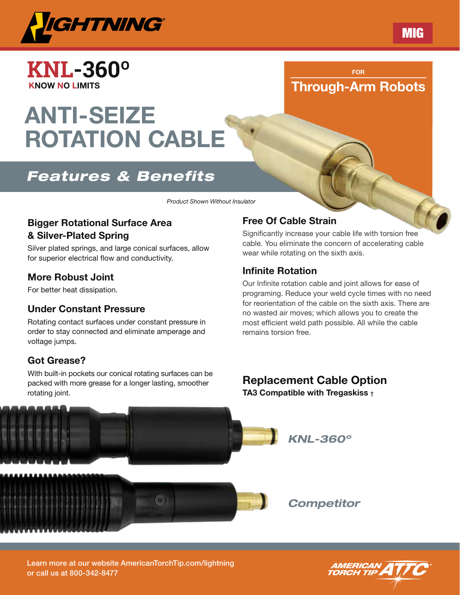

**KNL-360º** KNOW NO LIMITS

# ANTI-SEIZE ROTATION CABLE

# *Features & Benefits*

*Product Shown Without Insulator*

#### Bigger Rotational Surface Area & Silver-Plated Spring

Silver plated springs, and large conical surfaces, allow for superior electrical flow and conductivity.

### More Robust Joint

For better heat dissipation.

#### Under Constant Pressure

Rotating contact surfaces under constant pressure in order to stay connected and eliminate amperage and voltage jumps.

#### Got Grease?

With built-in pockets our conical rotating surfaces can be packed with more grease for a longer lasting, smoother rotating joint.

#### Free Of Cable Strain

Significantly increase your cable life with torsion free cable. You eliminate the concern of accelerating cable wear while rotating on the sixth axis.

FOR Through-Arm Robots

#### Infinite Rotation

Our Infinite rotation cable and joint allows for ease of programing. Reduce your weld cycle times with no need for reorientation of the cable on the sixth axis. There are no wasted air moves; which allows you to create the most efficient weld path possible. All while the cable remains torsion free.

# Replacement Cable Option

TA3 Compatible with Tregaskiss †



Learn more at our website AmericanTorchTip.com/lightning or call us at 800-342-8477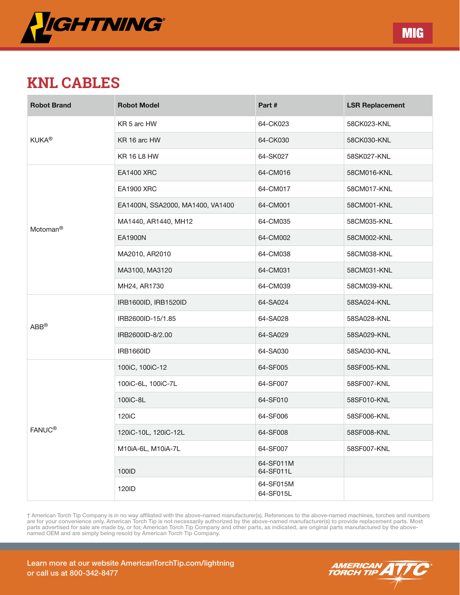

# **KNL CABLES**

| <b>Robot Brand</b>   | <b>Robot Model</b>               | Part #                 | <b>LSR Replacement</b> |
|----------------------|----------------------------------|------------------------|------------------------|
| <b>KUKA®</b>         | KR 5 arc HW                      | 64-CK023               | 58CK023-KNL            |
|                      | KR 16 arc HW                     | 64-CK030               | 58CK030-KNL            |
|                      | <b>KR 16 L8 HW</b>               | 64-SK027               | 58SK027-KNL            |
| Motoman <sup>®</sup> | <b>EA1400 XRC</b>                | 64-CM016               | 58CM016-KNL            |
|                      | <b>EA1900 XRC</b>                | 64-CM017               | 58CM017-KNL            |
|                      | EA1400N, SSA2000, MA1400, VA1400 | 64-CM001               | 58CM001-KNL            |
|                      | MA1440, AR1440, MH12             | 64-CM035               | 58CM035-KNL            |
|                      | <b>EA1900N</b>                   | 64-CM002               | 58CM002-KNL            |
|                      | MA2010, AR2010                   | 64-CM038               | 58CM038-KNL            |
|                      | MA3100, MA3120                   | 64-CM031               | 58CM031-KNL            |
|                      | MH24, AR1730                     | 64-CM039               | 58CM039-KNL            |
|                      | IRB1600ID, IRB1520ID             | 64-SA024               | 58SA024-KNL            |
| $ABB^{\circledR}$    | IRB2600ID-15/1.85                | 64-SA028               | 58SA028-KNL            |
|                      | IRB2600ID-8/2.00                 | 64-SA029               | 58SA029-KNL            |
|                      | <b>IRB1660ID</b>                 | 64-SA030               | 58SA030-KNL            |
| <b>FANUC®</b>        | 100iC, 100iC-12                  | 64-SF005               | 58SF005-KNL            |
|                      | 100iC-6L, 100iC-7L               | 64-SF007               | 58SF007-KNL            |
|                      | 100iC-8L                         | 64-SF010               | 58SF010-KNL            |
|                      | 120 <sub>i</sub> C               | 64-SF006               | 58SF006-KNL            |
|                      | 120iC-10L, 120iC-12L             | 64-SF008               | 58SF008-KNL            |
|                      | M10iA-6L, M10iA-7L               | 64-SF007               | 58SF007-KNL            |
|                      | 100ID                            | 64-SF011M<br>64-SF011L |                        |
|                      | 120ID                            | 64-SF015M<br>64-SF015L |                        |

† American Torch Tip Company is in no way affiliated with the above-named manufacturer(s). References to the above-named machines, torches and numbers are for your convenience only. American Torch Tip is not necessarily authorized by the above-named manufacturer(s) to provide replacement parts. Most parts advertised for sale are made by, or for, American Torch Tip Company and other parts, as indicated, are original parts manufactured by the abovenamed OEM and are simply being resold by American Torch Tip Company.